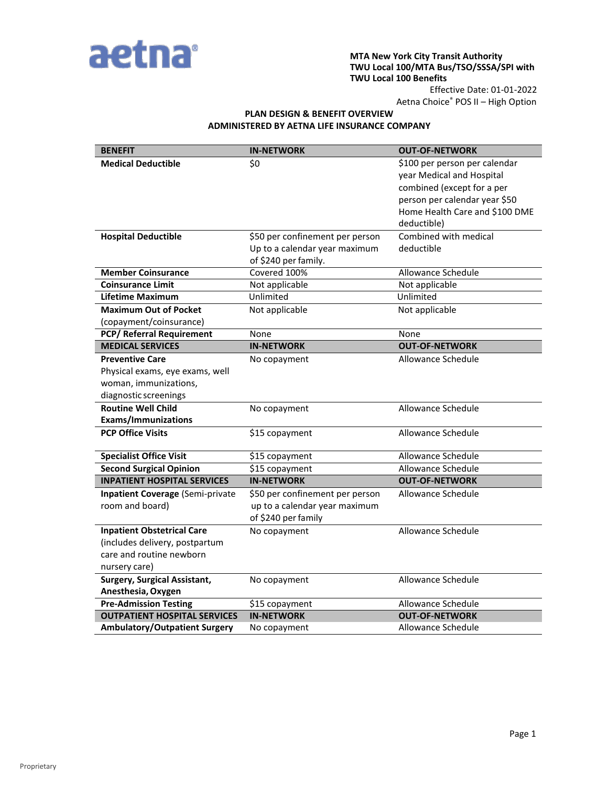

#### **MTA New York City Transit Authority TWU Local 100/MTA Bus/TSO/SSSA/SPI with TWU Local 100 Benefits**

Effective Date: 01-01-2022 Aetna Choice® POS II – High Option

# **PLAN DESIGN & BENEFIT OVERVIEW ADMINISTERED BY AETNA LIFE INSURANCE COMPANY**

| <b>BENEFIT</b>                                                                                                   | <b>IN-NETWORK</b>                                                                        | <b>OUT-OF-NETWORK</b>                                                                                                                                                      |
|------------------------------------------------------------------------------------------------------------------|------------------------------------------------------------------------------------------|----------------------------------------------------------------------------------------------------------------------------------------------------------------------------|
| <b>Medical Deductible</b>                                                                                        | \$0                                                                                      | \$100 per person per calendar<br>year Medical and Hospital<br>combined (except for a per<br>person per calendar year \$50<br>Home Health Care and \$100 DME<br>deductible) |
| <b>Hospital Deductible</b>                                                                                       | \$50 per confinement per person<br>Up to a calendar year maximum<br>of \$240 per family. | Combined with medical<br>deductible                                                                                                                                        |
| <b>Member Coinsurance</b>                                                                                        | Covered 100%                                                                             | <b>Allowance Schedule</b>                                                                                                                                                  |
| <b>Coinsurance Limit</b>                                                                                         | Not applicable                                                                           | Not applicable                                                                                                                                                             |
| <b>Lifetime Maximum</b>                                                                                          | Unlimited                                                                                | Unlimited                                                                                                                                                                  |
| <b>Maximum Out of Pocket</b><br>(copayment/coinsurance)                                                          | Not applicable                                                                           | Not applicable                                                                                                                                                             |
| <b>PCP/ Referral Requirement</b>                                                                                 | None                                                                                     | None                                                                                                                                                                       |
| <b>MEDICAL SERVICES</b>                                                                                          | <b>IN-NETWORK</b>                                                                        | <b>OUT-OF-NETWORK</b>                                                                                                                                                      |
| <b>Preventive Care</b><br>Physical exams, eye exams, well<br>woman, immunizations,<br>diagnostic screenings      | No copayment                                                                             | Allowance Schedule                                                                                                                                                         |
| <b>Routine Well Child</b><br><b>Exams/Immunizations</b>                                                          | No copayment                                                                             | Allowance Schedule                                                                                                                                                         |
| <b>PCP Office Visits</b>                                                                                         | \$15 copayment                                                                           | Allowance Schedule                                                                                                                                                         |
| <b>Specialist Office Visit</b>                                                                                   | \$15 copayment                                                                           | Allowance Schedule                                                                                                                                                         |
| <b>Second Surgical Opinion</b>                                                                                   | \$15 copayment                                                                           | Allowance Schedule                                                                                                                                                         |
| <b>INPATIENT HOSPITAL SERVICES</b>                                                                               | <b>IN-NETWORK</b>                                                                        | <b>OUT-OF-NETWORK</b>                                                                                                                                                      |
| <b>Inpatient Coverage (Semi-private</b><br>room and board)                                                       | \$50 per confinement per person<br>up to a calendar year maximum<br>of \$240 per family  | Allowance Schedule                                                                                                                                                         |
| <b>Inpatient Obstetrical Care</b><br>(includes delivery, postpartum<br>care and routine newborn<br>nursery care) | No copayment                                                                             | Allowance Schedule                                                                                                                                                         |
| <b>Surgery, Surgical Assistant,</b><br>Anesthesia, Oxygen                                                        | No copayment                                                                             | Allowance Schedule                                                                                                                                                         |
| <b>Pre-Admission Testing</b>                                                                                     | \$15 copayment                                                                           | Allowance Schedule                                                                                                                                                         |
| <b>OUTPATIENT HOSPITAL SERVICES</b>                                                                              | <b>IN-NETWORK</b>                                                                        | <b>OUT-OF-NETWORK</b>                                                                                                                                                      |
| <b>Ambulatory/Outpatient Surgery</b>                                                                             | No copayment                                                                             | Allowance Schedule                                                                                                                                                         |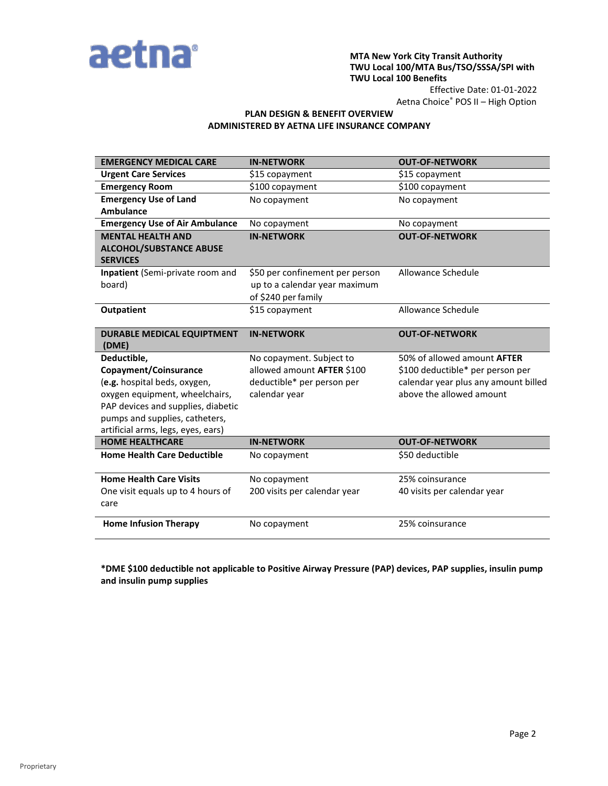

## **MTA New York City Transit Authority TWU Local 100/MTA Bus/TSO/SSSA/SPI with TWU Local 100 Benefits**

Effective Date: 01-01-2022 Aetna Choice® POS II – High Option

## **PLAN DESIGN & BENEFIT OVERVIEW ADMINISTERED BY AETNA LIFE INSURANCE COMPANY**

| <b>EMERGENCY MEDICAL CARE</b>                     | <b>IN-NETWORK</b>               | <b>OUT-OF-NETWORK</b>                |
|---------------------------------------------------|---------------------------------|--------------------------------------|
| <b>Urgent Care Services</b>                       | \$15 copayment                  | \$15 copayment                       |
| <b>Emergency Room</b>                             | \$100 copayment                 | \$100 copayment                      |
| <b>Emergency Use of Land</b>                      | No copayment                    | No copayment                         |
| <b>Ambulance</b>                                  |                                 |                                      |
| <b>Emergency Use of Air Ambulance</b>             | No copayment                    | No copayment                         |
| <b>MENTAL HEALTH AND</b>                          | <b>IN-NETWORK</b>               | <b>OUT-OF-NETWORK</b>                |
| <b>ALCOHOL/SUBSTANCE ABUSE</b><br><b>SERVICES</b> |                                 |                                      |
| Inpatient (Semi-private room and                  | \$50 per confinement per person | Allowance Schedule                   |
| board)                                            | up to a calendar year maximum   |                                      |
|                                                   | of \$240 per family             |                                      |
| <b>Outpatient</b>                                 | \$15 copayment                  | Allowance Schedule                   |
|                                                   |                                 |                                      |
| <b>DURABLE MEDICAL EQUIPTMENT</b><br>(DME)        | <b>IN-NETWORK</b>               | <b>OUT-OF-NETWORK</b>                |
| Deductible,                                       | No copayment. Subject to        | 50% of allowed amount <b>AFTER</b>   |
| Copayment/Coinsurance                             | allowed amount AFTER \$100      | \$100 deductible* per person per     |
| (e.g. hospital beds, oxygen,                      | deductible* per person per      | calendar year plus any amount billed |
| oxygen equipment, wheelchairs,                    | calendar year                   | above the allowed amount             |
| PAP devices and supplies, diabetic                |                                 |                                      |
| pumps and supplies, catheters,                    |                                 |                                      |
| artificial arms, legs, eyes, ears)                |                                 |                                      |
| <b>HOME HEALTHCARE</b>                            | <b>IN-NETWORK</b>               | <b>OUT-OF-NETWORK</b>                |
| <b>Home Health Care Deductible</b>                | No copayment                    | \$50 deductible                      |
| <b>Home Health Care Visits</b>                    | No copayment                    | 25% coinsurance                      |
| One visit equals up to 4 hours of                 | 200 visits per calendar year    | 40 visits per calendar year          |
| care                                              |                                 |                                      |
| <b>Home Infusion Therapy</b>                      | No copayment                    | 25% coinsurance                      |

**\*DME \$100 deductible not applicable to Positive Airway Pressure (PAP) devices, PAP supplies, insulin pump and insulin pump supplies**